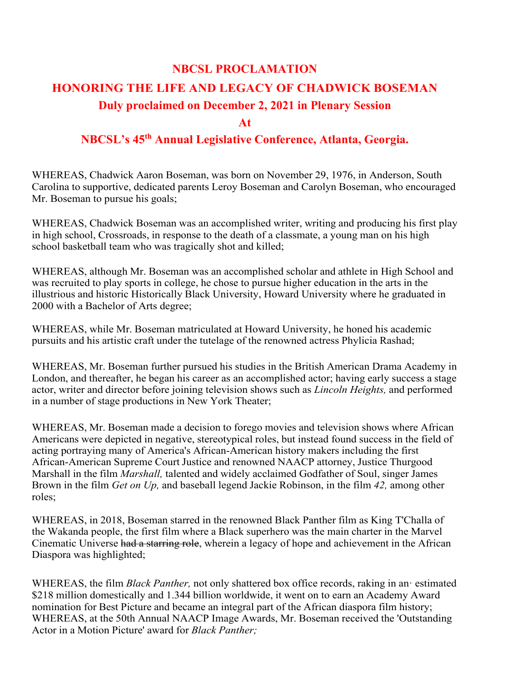## **NBCSL PROCLAMATION HONORING THE LIFE AND LEGACY OF CHADWICK BOSEMAN Duly proclaimed on December 2, 2021 in Plenary Session**

## **At**

## **NBCSL's 45th Annual Legislative Conference, Atlanta, Georgia.**

WHEREAS, Chadwick Aaron Boseman, was born on November 29, 1976, in Anderson, South Carolina to supportive, dedicated parents Leroy Boseman and Carolyn Boseman, who encouraged Mr. Boseman to pursue his goals;

WHEREAS, Chadwick Boseman was an accomplished writer, writing and producing his first play in high school, Crossroads, in response to the death of a classmate, a young man on his high school basketball team who was tragically shot and killed;

WHEREAS, although Mr. Boseman was an accomplished scholar and athlete in High School and was recruited to play sports in college, he chose to pursue higher education in the arts in the illustrious and historic Historically Black University, Howard University where he graduated in 2000 with a Bachelor of Arts degree;

WHEREAS, while Mr. Boseman matriculated at Howard University, he honed his academic pursuits and his artistic craft under the tutelage of the renowned actress Phylicia Rashad;

WHEREAS, Mr. Boseman further pursued his studies in the British American Drama Academy in London, and thereafter, he began his career as an accomplished actor; having early success a stage actor, writer and director before joining television shows such as *Lincoln Heights,* and performed in a number of stage productions in New York Theater;

WHEREAS, Mr. Boseman made a decision to forego movies and television shows where African Americans were depicted in negative, stereotypical roles, but instead found success in the field of acting portraying many of America's African-American history makers including the first African-American Supreme Court Justice and renowned NAACP attorney, Justice Thurgood Marshall in the film *Marshall,* talented and widely acclaimed Godfather of Soul, singer James Brown in the film *Get on Up,* and baseball legend Jackie Robinson, in the film *42,* among other roles;

WHEREAS, in 2018, Boseman starred in the renowned Black Panther film as King T'Challa of the Wakanda people, the first film where a Black superhero was the main charter in the Marvel Cinematic Universe had a starring role, wherein a legacy of hope and achievement in the African Diaspora was highlighted;

WHEREAS, the film *Black Panther,* not only shattered box office records, raking in an· estimated \$218 million domestically and 1.344 billion worldwide, it went on to earn an Academy Award nomination for Best Picture and became an integral part of the African diaspora film history; WHEREAS, at the 50th Annual NAACP Image Awards, Mr. Boseman received the 'Outstanding Actor in a Motion Picture' award for *Black Panther;*